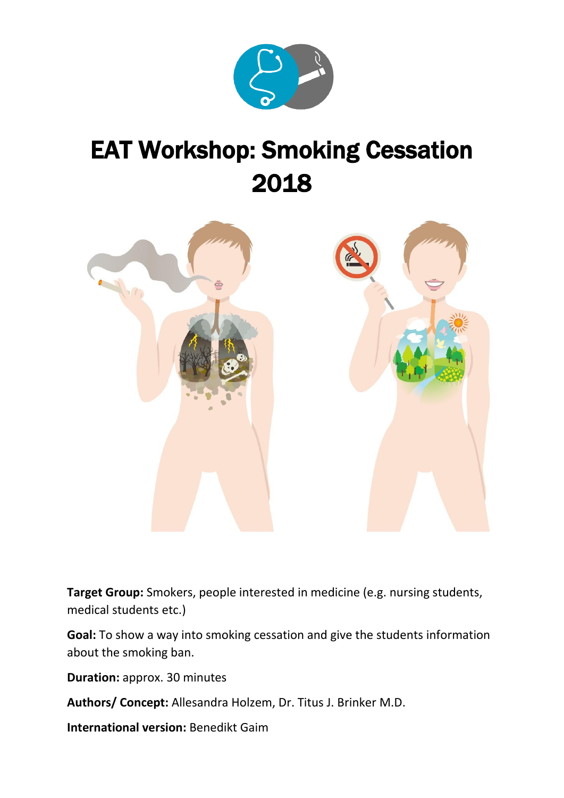

# EAT Workshop: Smoking Cessation 2018



**Target Group:** Smokers, people interested in medicine (e.g. nursing students, medical students etc.)

**Goal:** To show a way into smoking cessation and give the students information about the smoking ban.

**Duration:** approx. 30 minutes

**Authors/ Concept:** Allesandra Holzem, Dr. Titus J. Brinker M.D.

**International version:** Benedikt Gaim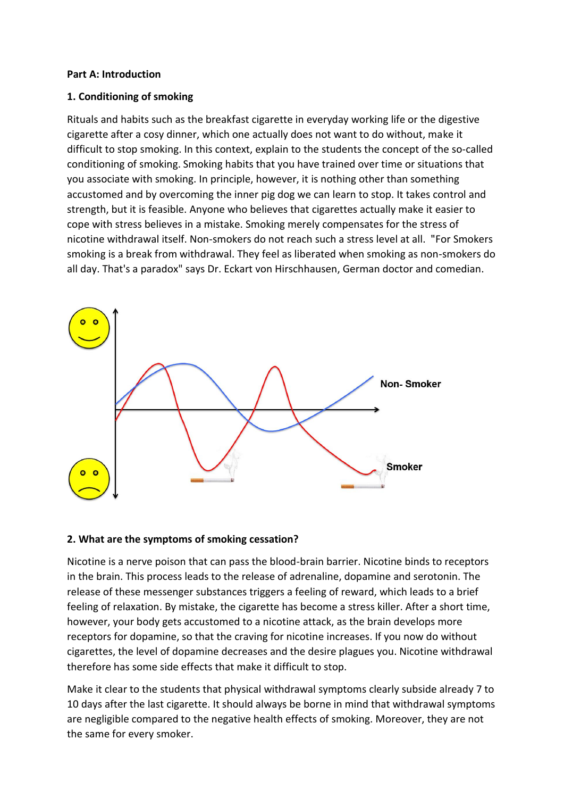#### **Part A: Introduction**

## **1. Conditioning of smoking**

Rituals and habits such as the breakfast cigarette in everyday working life or the digestive cigarette after a cosy dinner, which one actually does not want to do without, make it difficult to stop smoking. In this context, explain to the students the concept of the so-called conditioning of smoking. Smoking habits that you have trained over time or situations that you associate with smoking. In principle, however, it is nothing other than something accustomed and by overcoming the inner pig dog we can learn to stop. It takes control and strength, but it is feasible. Anyone who believes that cigarettes actually make it easier to cope with stress believes in a mistake. Smoking merely compensates for the stress of nicotine withdrawal itself. Non-smokers do not reach such a stress level at all. "̈For Smokers smoking is a break from withdrawal. They feel as liberated when smoking as non-smokers do all day. That's a paradox" says Dr. Eckart von Hirschhausen, German doctor and comedian.



# **2. What are the symptoms of smoking cessation?**

Nicotine is a nerve poison that can pass the blood-brain barrier. Nicotine binds to receptors in the brain. This process leads to the release of adrenaline, dopamine and serotonin. The release of these messenger substances triggers a feeling of reward, which leads to a brief feeling of relaxation. By mistake, the cigarette has become a stress killer. After a short time, however, your body gets accustomed to a nicotine attack, as the brain develops more receptors for dopamine, so that the craving for nicotine increases. If you now do without cigarettes, the level of dopamine decreases and the desire plagues you. Nicotine withdrawal therefore has some side effects that make it difficult to stop.

Make it clear to the students that physical withdrawal symptoms clearly subside already 7 to 10 days after the last cigarette. It should always be borne in mind that withdrawal symptoms are negligible compared to the negative health effects of smoking. Moreover, they are not the same for every smoker.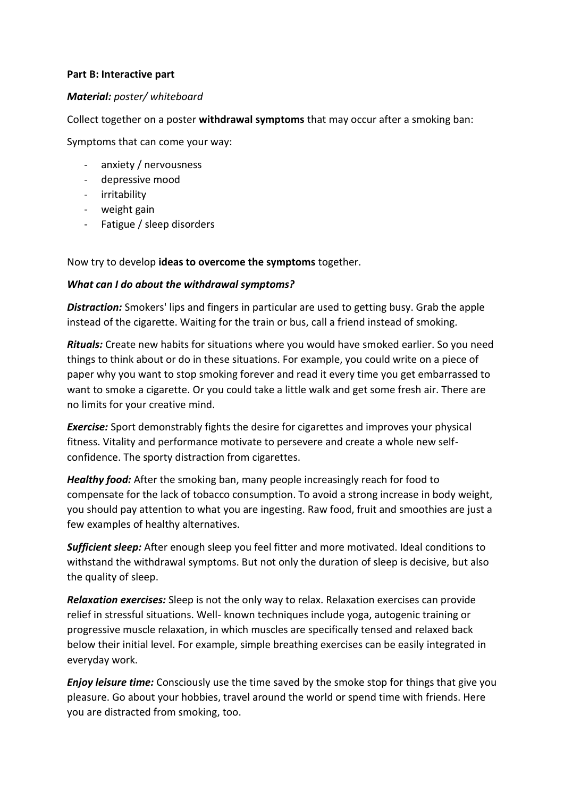### **Part B: Interactive part**

## *Material: poster/ whiteboard*

Collect together on a poster **withdrawal symptoms** that may occur after a smoking ban:

Symptoms that can come your way:

- anxiety / nervousness
- depressive mood
- irritability
- weight gain
- Fatigue / sleep disorders

Now try to develop **ideas to overcome the symptoms** together.

## *What can I do about the withdrawal symptoms?*

*Distraction:* Smokers' lips and fingers in particular are used to getting busy. Grab the apple instead of the cigarette. Waiting for the train or bus, call a friend instead of smoking.

*Rituals:* Create new habits for situations where you would have smoked earlier. So you need things to think about or do in these situations. For example, you could write on a piece of paper why you want to stop smoking forever and read it every time you get embarrassed to want to smoke a cigarette. Or you could take a little walk and get some fresh air. There are no limits for your creative mind.

*Exercise:* Sport demonstrably fights the desire for cigarettes and improves your physical fitness. Vitality and performance motivate to persevere and create a whole new selfconfidence. The sporty distraction from cigarettes.

*Healthy food:* After the smoking ban, many people increasingly reach for food to compensate for the lack of tobacco consumption. To avoid a strong increase in body weight, you should pay attention to what you are ingesting. Raw food, fruit and smoothies are just a few examples of healthy alternatives.

*Sufficient sleep:* After enough sleep you feel fitter and more motivated. Ideal conditions to withstand the withdrawal symptoms. But not only the duration of sleep is decisive, but also the quality of sleep.

*Relaxation exercises:* Sleep is not the only way to relax. Relaxation exercises can provide relief in stressful situations. Well- known techniques include yoga, autogenic training or progressive muscle relaxation, in which muscles are specifically tensed and relaxed back below their initial level. For example, simple breathing exercises can be easily integrated in everyday work.

*Enjoy leisure time:* Consciously use the time saved by the smoke stop for things that give you pleasure. Go about your hobbies, travel around the world or spend time with friends. Here you are distracted from smoking, too.